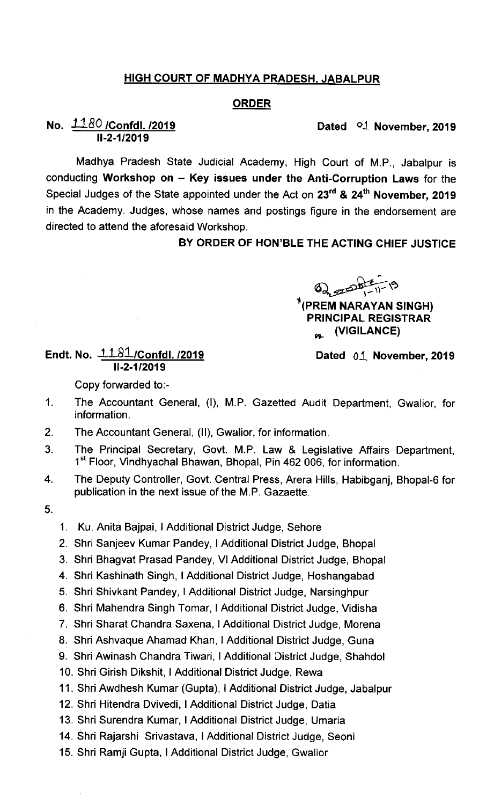## HIGH COURT OF MADHYA PRADESH. JABALPUR

## ORDER

## Dated <sup>o1</sup> November, 2019

## No.  $1180$  /Confdl. /2019 11-2-1 /2019

Madhya Pradesh State Judicial Academy, High Court of M.P., Jabalpur is conducting Workshop on  $-$  Key issues under the Anti-Corruption Laws for the Special Judges of the State appointed under the Act on 23<sup>rd</sup> & 24<sup>th</sup> November, 2019 in the Academy. Judges, whose names and postings figure in the endorsement are directed to attend the aforesaid Workshop.

BY ORDER OF HON'BLE THE ACTING CHIEF JUSTICE

 $\,Q_{\alpha, \beta}$  obt = 11 - 19

t(PREM NARAYAN SINGH) PRINCIPAL REGISTRAR  $\alpha$  (VIGILANCE)

Endt. No.  $-1.81$ /Confdl. /2019 11-2-1/2019

Dated 01 November, 2019

Copy forwarded to:-

- 1. The Accountant General, (I), M.P. Gazetted Audit Department, Gwalior, for information.
- 2. The Accountant General, (Il), Gwalior, for information.
- $\overline{3}$ The Principal Secretary, Govt. M.P. Law & Legislative Affairs Department, 1<sup>st</sup> Floor, Vindhyachal Bhawan, Bhopal, Pin 462 006, for information.
- 4. The Deputy Controller, Govt. Central Press, Arera Hills, Habibganj, Bhopal-6 for publication in the next issue of the M.P. Gazaette.
- 5.
- 1. Ku. Anita Bajpai, I Additional District Judge, Sehore
- 2. Shri Sanjeev Kumar Pandey, I Additional District Judge, Bhopal
- 3. Shri Bhagvat Prasad Pandey, VI Additional District Judge, Bhopal
- 4. Shri Kashinath Singh, I Additional District Judge, Hoshangabad
- 5. Shri Shivkant Pandey, I Addjtional District Judge, Narsinghpur
- 6. Shri Mahendra Singh Tomar, I Additional District Judge, Vidisha
- 7. Shri Sharat Chandra Saxena, I Additional District Judge, Morena
- 8. Shri Ashvaque Ahamad Khan, I Additional District Judge, Guna
- 9, Shri Awinash Chandra Tiwari, I Additional District Judge, Shahdol

10. Shri Girish Dikshit, I Additional District Judge, Rewa

- 11. Shri Awdhesh Kumar (Gupta), I Additional District Judge, Jabalpur
- 12. Shri Hitendra Dvivedi, I Additional District Judge, Datia
- 13. Shri Surendra Kumar, I Additional District Judge, Umaria
- 14. Shri Rajarshi Srivastava, I Additional District Judge, Seoni
- 15. Shri Ramji Gupta, I Additional District Judge, Gwalior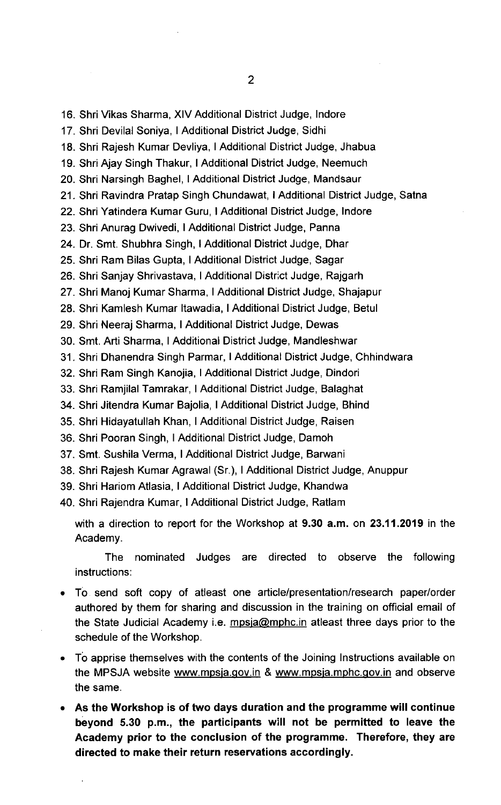16. Shri Vikas Sharma, XIV Additional District Judge, Indore

17. Shri Devilal Soniya, I Additional District Judge, Sidhi

18. Shri Rajesh Kumar Devliya, I Additional District Judge, Jhabua

19. Shri Ajay Singh Thakur, I Additional District Judge, Neemuch

20. Shri Narsingh Baghel, I Additional District Judge, Mandsaur

21. Shri Ravindra Pratap Singh Chundawat, I Additional District Judge, Satha

22. Shri Yatindera Kumar Guru, I Additional District Judge, lndore

23. Shri Anurag Dwivedi, I Additional District Judge, Panna

24. Dr. Smt. Shubhra Singh, I Additional District Judge, Dhar

25. Shri Ram Bilas Gupta, I Additional District Judge, Sagar

26. Shri Sanjay Shrivastava, I Additional District Judge, Rajgarh

27. Shri Manoj Kumar Sharma, I Additional District Judge, Shajapur

28. Shri Kamlesh Kumar ltawadia, I Additional District Judge, Betul

29. Shri Neeraj Sharma, I Additional District Judge, Dewas

30. Smt. Arti Sharma, I Additional District Judge, Mandleshwar

31. Shri Dhanendra Singh Parmar, I Additional District Judge, Chhindwara

32. Shri Ram Singh Kanojia, I Additional District Judge, Dindori

33. Shri Ramjilal Tamrakar, I Additional District Judge, Balaghat

34. Shri Jitendra Kumar Bajolia, I Additional District Judge, Bhind

35. Shri Hidayatullah Khan, I Additional District Judge, Raisen

36. Shri Pooran Singh, I Additional District Judge, Damoh

37. Smt. Sushila Verma, I Additional District Judge, Barwani

38. Shri Rajesh Kumar Agrawal (Sr.), I Additional District Judge, Anuppur

39. Shri Hariom Atlasia, I Additional District Judge, Khandwa

40, Shri Rajendra Kumar, I Additional District Judge, Ratlam

with a direction to report for the Workshop at 9.30 a.m. on 23.11.2019 in the Academy.

The nominated Judges are directed to observe the following instructions:

- To send soft copy of atleast one article/presentation/research paper/order authored by them for sharing and discussion in the training on official email of the State Judicial Academy i.e.  $mpsia@mphc.in$  atleast three days prior to the schedule of the Workshop.
- To apprise themselves with the contents of the Joining Instructions available on the MPSJA website www.mpsja.gov.in & www.mpsja.mphc.gov.in and observe the same.
- As the Workshop is of two days duration and the programme will continue beyond 5.30 p.m., the participants will not be permitted to leave the Academy prior to the conclusion of the programme. Therefore, they are directed to make their return reservations accordingly.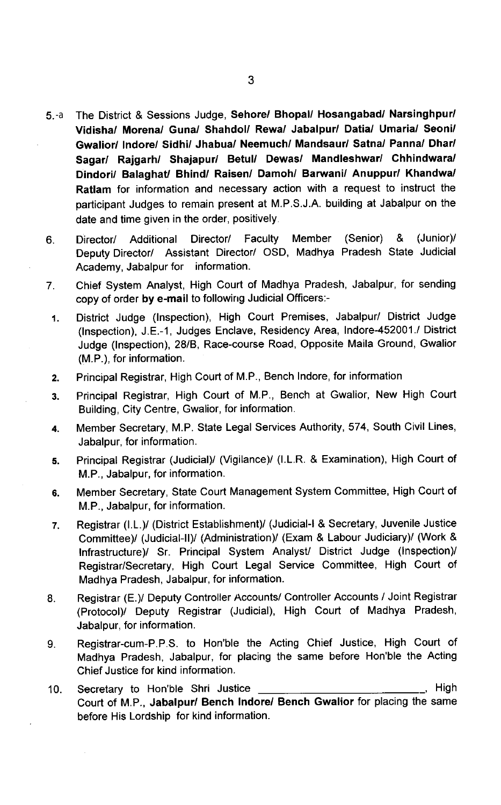- 5. The District & Sessions Judge, Sehore/ Bhopal/ Hosangabad/ Narsinghpur/ Vidisha/ Morena/ Guna/ Shahdol/ Rewa/ Jabalpur/ Datia/ Umaria/ Seoni/ Gwalior/ lndore/ Sidhi/ Jhabua/ Neemuch/ Mandsaur/ Satna/ Panna/ Dhar/ Sagar/ Rajgarh/ Shajapur/ Betul/ Dewas/ Mandleshwar/ Chhindwara/ Dindori/ Balaghat/ Bhjnd/ Raisen/ Damoh/ Barwani/ Anuppur/ Khandwa/ Ratlam for information and necessary action with a request to instruct the participant Judges to remain present at M.P.S.J.A. building at Jabalpur on the date and time given in the order, positively  $5a$
- 6. Director/ Additional Director/ Faculty Member (Senior) & (Junior)/ Deputy Director/ Assistant Director/ OSD, Madhya Pradesh State Judicial Academy, Jabalpur for information.
- 7. Chief System Analyst, High Court of Madhya Pradesh, Jabalpur, for sending copy of order by e-mail to following Judicial Officers:-
- 1. District Judge (Inspection), High Court Premises, Jabalpur/ District Judge (Inspection), J.E.-1, Judges Enclave, Residency Area, lndore-452001./ District Judge (Inspection), 28/8, Race-course Road, Opposite Maila Ground, Gwalior (M.P.), for information.
- 2. Principal Registrar, High court of M.P,, Bench lndore, for information
- 3. Principal Registrar, High Court of M.P., Bench at Gwalior, New High Court Building, City Centre, Gwalior, for information.
- 4. Member Secretary, M.P. State Legal Services Authority, 574, South Civil Lines, Jabalpur, for information.
- 5. Principal Registrar (Judicial)/ (Vigilance)/ (I,L.R. & Examination), High court of M.P., Jabalpur, for information.
- 6. Member secretary, State court Management system committee, High court of M.P., Jabalpur, for information.
- 7. Registrar (I.L.)/ (District Establishment)/ (Judicial-I & Secretary, Juvenile Justice Committee)/ (Judicial-ll)/ (Administration)/ (Exam & Labour Judiciary)/ (Work & Infrastructure)/ Sr. Principal System Analyst/ District Judge (Inspection)/ Registrar/Secretary, High Court Legal Service Committee, High Court of Madhya Pradesh, Jabalpur, for information.
- Registrar (E.)/ Deputy Controller Accounts/ Controller Accounts / Joint Registrar 8. (Protocol)/ Deputy Registrar (Judicial), High Court of Madhya Pradesh, Jabalpur, for information.
- 9. Registrar-cum-P.P.S. to Hon'ble the Acting Chief Justice, High Court of Madhya Pradesh, Jabalpur, for placing the same before Hon'ble the Acting Chief Justice for kind information.
- 10. Secretary to Hon'ble Shri Justice **Entitled Solution** Secretary to High Court of M.P., Jabalpur/ Bench lndore/ Bench Gwalior for placing the same before His Lordship for kind information.